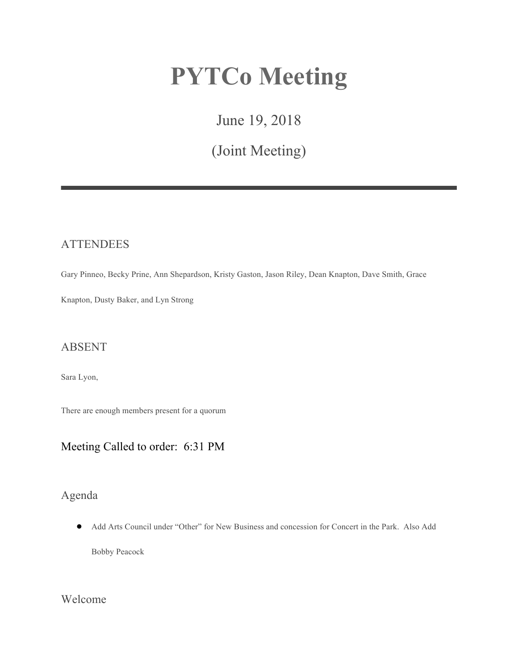# **PYTCo Meeting**

June 19, 2018

(Joint Meeting)

## **ATTENDEES**

Gary Pinneo, Becky Prine, Ann Shepardson, Kristy Gaston, Jason Riley, Dean Knapton, Dave Smith, Grace

Knapton, Dusty Baker, and Lyn Strong

## ABSENT

Sara Lyon,

There are enough members present for a quorum

# Meeting Called to order: 6:31 PM

# Agenda

● Add Arts Council under "Other" for New Business and concession for Concert in the Park. Also Add

Bobby Peacock

Welcome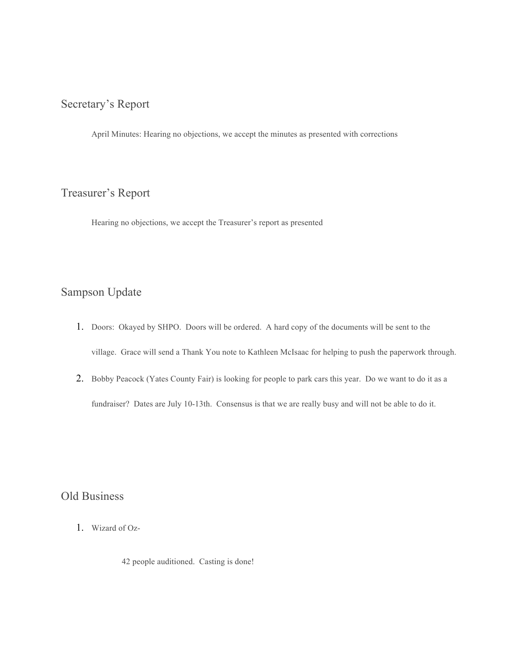# Secretary's Report

April Minutes: Hearing no objections, we accept the minutes as presented with corrections

# Treasurer's Report

Hearing no objections, we accept the Treasurer's report as presented

# Sampson Update

- 1. Doors: Okayed by SHPO. Doors will be ordered. A hard copy of the documents will be sent to the village. Grace will send a Thank You note to Kathleen McIsaac for helping to push the paperwork through.
- 2. Bobby Peacock (Yates County Fair) is looking for people to park cars this year. Do we want to do it as a fundraiser? Dates are July 10-13th. Consensus is that we are really busy and will not be able to do it.

# Old Business

1. Wizard of Oz-

42 people auditioned. Casting is done!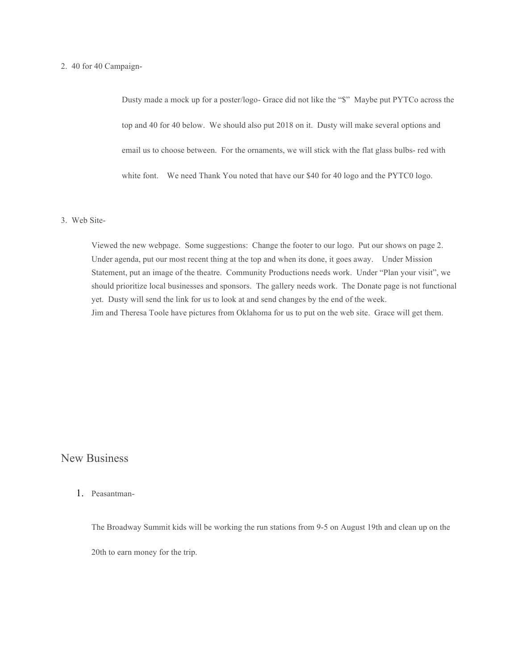#### 2. 40 for 40 Campaign-

Dusty made a mock up for a poster/logo- Grace did not like the "\$" Maybe put PYTCo across the top and 40 for 40 below. We should also put 2018 on it. Dusty will make several options and email us to choose between. For the ornaments, we will stick with the flat glass bulbs- red with white font. We need Thank You noted that have our \$40 for 40 logo and the PYTC0 logo.

#### 3. Web Site-

Viewed the new webpage. Some suggestions: Change the footer to our logo. Put our shows on page 2. Under agenda, put our most recent thing at the top and when its done, it goes away. Under Mission Statement, put an image of the theatre. Community Productions needs work. Under "Plan your visit", we should prioritize local businesses and sponsors. The gallery needs work. The Donate page is not functional yet. Dusty will send the link for us to look at and send changes by the end of the week. Jim and Theresa Toole have pictures from Oklahoma for us to put on the web site. Grace will get them.

## New Business

#### 1. Peasantman-

The Broadway Summit kids will be working the run stations from 9-5 on August 19th and clean up on the 20th to earn money for the trip.